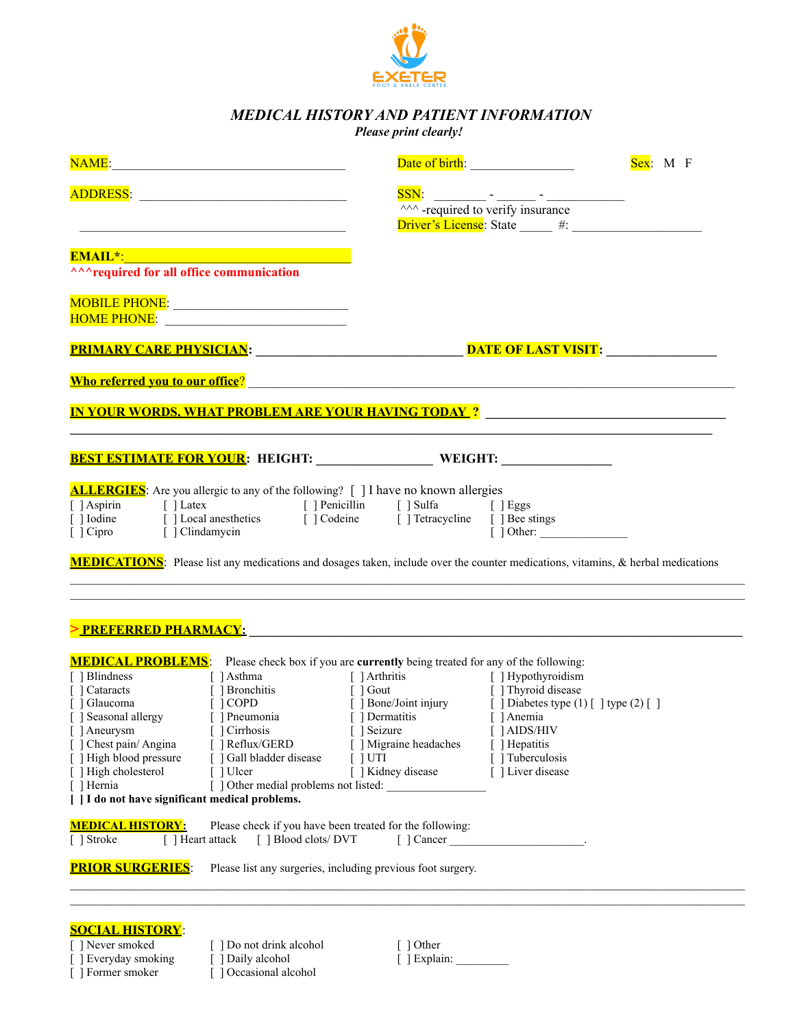

# *MEDICAL HISTORY AND PATIENT INFORMATION*

### *Please print clearly!*

|                                                                                                                                                                                                                                                                 |                                                                                                                                                                                                                                                                                                                                                                                                                                                                                                                                                                                                                           | Sex: M F |
|-----------------------------------------------------------------------------------------------------------------------------------------------------------------------------------------------------------------------------------------------------------------|---------------------------------------------------------------------------------------------------------------------------------------------------------------------------------------------------------------------------------------------------------------------------------------------------------------------------------------------------------------------------------------------------------------------------------------------------------------------------------------------------------------------------------------------------------------------------------------------------------------------------|----------|
|                                                                                                                                                                                                                                                                 | $\frac{\text{SSN}}{\text{N}}$ -required to verify insurance                                                                                                                                                                                                                                                                                                                                                                                                                                                                                                                                                               |          |
| the control of the control of the control of the control of the control of the control of                                                                                                                                                                       |                                                                                                                                                                                                                                                                                                                                                                                                                                                                                                                                                                                                                           |          |
| <u> 1989 - Johann Stein, marwolaethau a bhann an t-Amhair Aonaichte ann an t-Amhair Aonaichte ann an t-Amhair Ao</u>                                                                                                                                            |                                                                                                                                                                                                                                                                                                                                                                                                                                                                                                                                                                                                                           |          |
|                                                                                                                                                                                                                                                                 |                                                                                                                                                                                                                                                                                                                                                                                                                                                                                                                                                                                                                           |          |
| <u>MOBILE PHONE: __________________________</u>                                                                                                                                                                                                                 |                                                                                                                                                                                                                                                                                                                                                                                                                                                                                                                                                                                                                           |          |
|                                                                                                                                                                                                                                                                 |                                                                                                                                                                                                                                                                                                                                                                                                                                                                                                                                                                                                                           |          |
|                                                                                                                                                                                                                                                                 |                                                                                                                                                                                                                                                                                                                                                                                                                                                                                                                                                                                                                           |          |
|                                                                                                                                                                                                                                                                 | <u>IN YOUR WORDS, WHAT PROBLEM ARE YOUR HAVING TODAY ?_____________________________</u>                                                                                                                                                                                                                                                                                                                                                                                                                                                                                                                                   |          |
|                                                                                                                                                                                                                                                                 | BEST ESTIMATE FOR YOUR: HEIGHT: WEIGHT: WEIGHT: WEIGHT: WEIGHT: WEIGHT: WEIGHT: WEIGHT: WEIGHT: WEIGHT: WEIGHT: WEIGHT: WEIGHT: WEIGHT: WEIGHT: WEIGHT: WEIGHT: WEIGHT: WEIGHT: WEIGHT: WEIGHT: WEIGHT: WEIGHT: WEIGHT: WEIGHT                                                                                                                                                                                                                                                                                                                                                                                            |          |
| [ ] Cipro [ ] Clindamycin                                                                                                                                                                                                                                       | [] Aspirin [] Latex [] Penicillin [] Sulfa [] Eggs<br>[] Iodine [] Local anesthetics [] Codeine [] Tetracycline [] Bee stings<br>$\left[\right]$ Other:<br><b>MEDICATIONS</b> : Please list any medications and dosages taken, include over the counter medications, vitamins, & herbal medications                                                                                                                                                                                                                                                                                                                       |          |
|                                                                                                                                                                                                                                                                 |                                                                                                                                                                                                                                                                                                                                                                                                                                                                                                                                                                                                                           |          |
| [ ] Aneurysm [ ] Cirrhosis<br>[ ] Chest pain/ Angina<br>[ ] Reflux/GERD<br>[ ] High blood pressure<br>[ ] Gall bladder disease<br>[ ] High cholesterol<br>[ ] Ulcer<br>[ ] Hernia<br>[   I do not have significant medical problems.<br><b>MEDICAL HISTORY:</b> | <b>MEDICAL PROBLEMS:</b> Please check box if you are <b>currently</b> being treated for any of the following:<br>[ ] Blindness [ ] Asthma [ ] Arthritis [ ] Hypothyroidism<br>[ ] Cataracts [ ] Bronchitis [ ] Gout [ ] Thyroid disease<br>[ ] Glaucoma [ ] COPD [ ] Bone/Joint injury [ ] Diabetes type (1) [ ] type (2) [ ] ]<br>[ ] Seasonal aller<br>[ ] Seizure [ ] AIDS/HIV<br>[ ] Migraine headaches<br>[ ] Hepatitis<br>[ ] Tuberculosis<br>$\lceil$ $\lceil$ UTI<br>[ ] Kidney disease<br>[ ] Liver disease<br>[ ] Other medial problems not listed:<br>Please check if you have been treated for the following: |          |
| [ ] Stroke<br>[ ] Heart attack                                                                                                                                                                                                                                  | [ ] Blood clots/ DVT                                                                                                                                                                                                                                                                                                                                                                                                                                                                                                                                                                                                      |          |
| <b>PRIOR SURGERIES:</b>                                                                                                                                                                                                                                         | Please list any surgeries, including previous foot surgery.                                                                                                                                                                                                                                                                                                                                                                                                                                                                                                                                                               |          |
| <b>SOCIAL HISTORY:</b>                                                                                                                                                                                                                                          |                                                                                                                                                                                                                                                                                                                                                                                                                                                                                                                                                                                                                           |          |
| [ ] Never smoked<br>] Do not drink alcohol                                                                                                                                                                                                                      | [ ] Other                                                                                                                                                                                                                                                                                                                                                                                                                                                                                                                                                                                                                 |          |

[ ] Everyday smoking [ ] Daily alcohol [ ] Explain: [ ] Former smoker [ ] Occasional alcohol